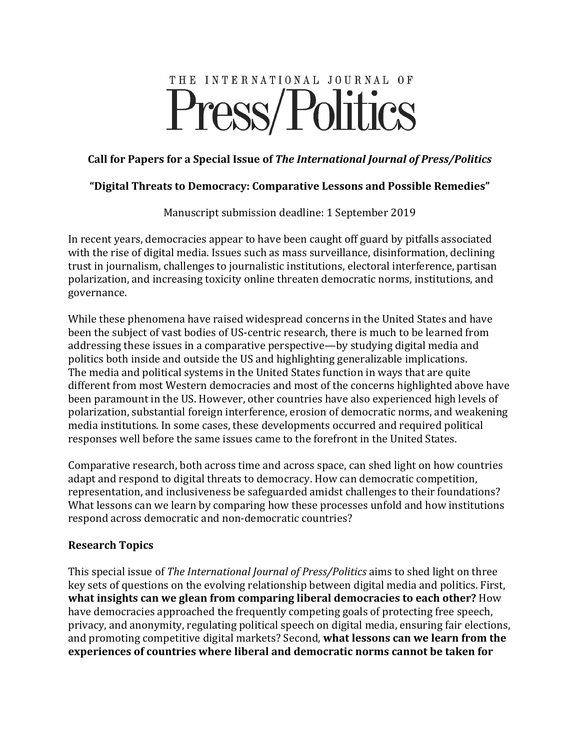# THE INTERNATIONAL JOURNAL OF Press/Politics

#### Call for Papers for a Special Issue of *The International Journal of Press/Politics*

#### "Digital Threats to Democracy: Comparative Lessons and Possible Remedies"

Manuscript submission deadline: 1 September 2019

In recent years, democracies appear to have been caught off guard by pitfalls associated with the rise of digital media. Issues such as mass surveillance, disinformation, declining trust in journalism, challenges to journalistic institutions, electoral interference, partisan polarization, and increasing toxicity online threaten democratic norms, institutions, and governance. 

While these phenomena have raised widespread concerns in the United States and have been the subject of vast bodies of US-centric research, there is much to be learned from addressing these issues in a comparative perspective—by studying digital media and politics both inside and outside the US and highlighting generalizable implications. The media and political systems in the United States function in ways that are quite different from most Western democracies and most of the concerns highlighted above have been paramount in the US. However, other countries have also experienced high levels of polarization, substantial foreign interference, erosion of democratic norms, and weakening media institutions. In some cases, these developments occurred and required political responses well before the same issues came to the forefront in the United States.

Comparative research, both across time and across space, can shed light on how countries adapt and respond to digital threats to democracy. How can democratic competition, representation, and inclusiveness be safeguarded amidst challenges to their foundations? What lessons can we learn by comparing how these processes unfold and how institutions respond across democratic and non-democratic countries?

## **Research Topics**

This special issue of *The International Journal of Press/Politics* aims to shed light on three key sets of questions on the evolving relationship between digital media and politics. First, **what insights can we glean from comparing liberal democracies to each other?** How have democracies approached the frequently competing goals of protecting free speech, privacy, and anonymity, regulating political speech on digital media, ensuring fair elections, and promoting competitive digital markets? Second, what lessons can we learn from the **experiences of countries where liberal and democratic norms cannot be taken for**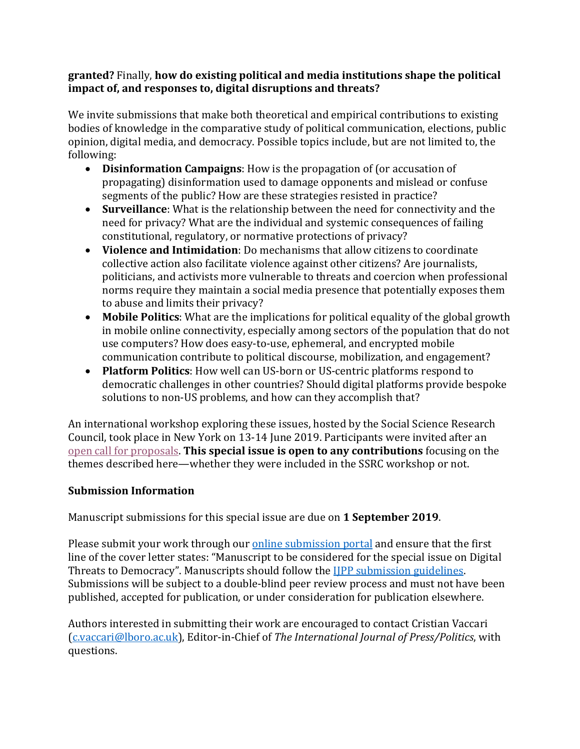#### granted? Finally, how do existing political and media institutions shape the political **impact of, and responses to, digital disruptions and threats?**

We invite submissions that make both theoretical and empirical contributions to existing bodies of knowledge in the comparative study of political communication, elections, public opinion, digital media, and democracy. Possible topics include, but are not limited to, the following: 

- **Disinformation Campaigns**: How is the propagation of (or accusation of propagating) disinformation used to damage opponents and mislead or confuse segments of the public? How are these strategies resisted in practice?
- **Surveillance**: What is the relationship between the need for connectivity and the need for privacy? What are the individual and systemic consequences of failing constitutional, regulatory, or normative protections of privacy?
- Violence and Intimidation: Do mechanisms that allow citizens to coordinate collective action also facilitate violence against other citizens? Are journalists, politicians, and activists more vulnerable to threats and coercion when professional norms require they maintain a social media presence that potentially exposes them to abuse and limits their privacy?
- Mobile Politics: What are the implications for political equality of the global growth in mobile online connectivity, especially among sectors of the population that do not use computers? How does easy-to-use, ephemeral, and encrypted mobile communication contribute to political discourse, mobilization, and engagement?
- **Platform Politics**: How well can US-born or US-centric platforms respond to democratic challenges in other countries? Should digital platforms provide bespoke solutions to non-US problems, and how can they accomplish that?

An international workshop exploring these issues, hosted by the Social Science Research Council, took place in New York on 13-14 June 2019. Participants were invited after an open call for proposals. This special issue is open to any contributions focusing on the themes described here—whether they were included in the SSRC workshop or not.

## **Submission Information**

Manuscript submissions for this special issue are due on 1 September 2019.

Please submit your work through our online submission portal and ensure that the first line of the cover letter states: "Manuscript to be considered for the special issue on Digital Threats to Democracy". Manuscripts should follow the IIPP submission guidelines. Submissions will be subject to a double-blind peer review process and must not have been published, accepted for publication, or under consideration for publication elsewhere.

Authors interested in submitting their work are encouraged to contact Cristian Vaccari (c.vaccari@lboro.ac.uk), Editor-in-Chief of The International Journal of Press/Politics, with questions.